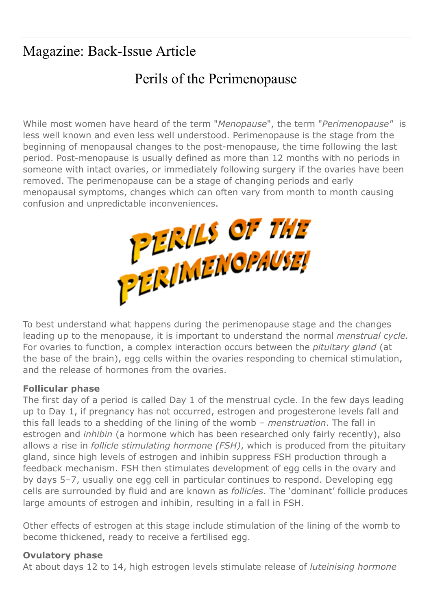# Magazine: Back-Issue Article

# Perils of the Perimenopause

While most women have heard of the term "Menopause", the term "Perimenopause" is less well known and even less well understood. Perimenopause is the stage from the beginning of menopausal changes to the post-menopause, the time following the last period. Post-menopause is usually defined as more than 12 months with no periods in someone with intact ovaries, or immediately following surgery if the ovaries have been removed. The perimenopause can be a stage of changing periods and early menopausal symptoms, changes which can often vary from month to month causing



To best understand what happens during the perimenopause stage and the changes leading up to the menopause, it is important to understand the normal menstrual cycle. For ovaries to function, a complex interaction occurs between the *pituitary gland* (at the base of the brain), egg cells within the ovaries responding to chemical stimulation, and the release of hormones from the ovaries.

#### Follicular phase

The first day of a period is called Day 1 of the menstrual cycle. In the few days leading up to Day 1, if pregnancy has not occurred, estrogen and progesterone levels fall and this fall leads to a shedding of the lining of the womb - menstruation. The fall in estrogen and inhibin (a hormone which has been researched only fairly recently), also allows a rise in *follicle stimulating hormone (FSH)*, which is produced from the pituitary gland, since high levels of estrogen and inhibin suppress FSH production through a feedback mechanism. FSH then stimulates development of egg cells in the ovary and by days 5–7, usually one egg cell in particular continues to respond. Developing egg cells are surrounded by fluid and are known as *follicles*. The 'dominant' follicle produces large amounts of estrogen and inhibin, resulting in a fall in FSH.

Other effects of estrogen at this stage include stimulation of the lining of the womb to become thickened, ready to receive a fertilised egg.

### Ovulatory phase

At about days 12 to 14, high estrogen levels stimulate release of *luteinising hormone*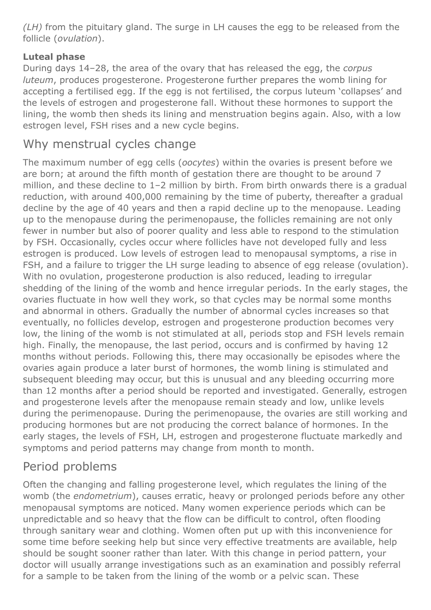(LH) from the pituitary gland. The surge in LH causes the egg to be released from the follicle (ovulation).

### Luteal phase

During days 14–28, the area of the ovary that has released the egg, the corpus luteum, produces progesterone. Progesterone further prepares the womb lining for accepting a fertilised egg. If the egg is not fertilised, the corpus luteum 'collapses' and the levels of estrogen and progesterone fall. Without these hormones to support the lining, the womb then sheds its lining and menstruation begins again. Also, with a low estrogen level, FSH rises and a new cycle begins.

## Why menstrual cycles change

The maximum number of egg cells (oocytes) within the ovaries is present before we are born; at around the fifth month of gestation there are thought to be around 7 million, and these decline to 1–2 million by birth. From birth onwards there is a gradual reduction, with around 400,000 remaining by the time of puberty, thereafter a gradual decline by the age of 40 years and then a rapid decline up to the menopause. Leading up to the menopause during the perimenopause, the follicles remaining are not only fewer in number but also of poorer quality and less able to respond to the stimulation by FSH. Occasionally, cycles occur where follicles have not developed fully and less estrogen is produced. Low levels of estrogen lead to menopausal symptoms, a rise in FSH, and a failure to trigger the LH surge leading to absence of egg release (ovulation). With no ovulation, progesterone production is also reduced, leading to irregular shedding of the lining of the womb and hence irregular periods. In the early stages, the ovaries fluctuate in how well they work, so that cycles may be normal some months and abnormal in others. Gradually the number of abnormal cycles increases so that eventually, no follicles develop, estrogen and progesterone production becomes very low, the lining of the womb is not stimulated at all, periods stop and FSH levels remain high. Finally, the menopause, the last period, occurs and is confirmed by having 12 months without periods. Following this, there may occasionally be episodes where the ovaries again produce a later burst of hormones, the womb lining is stimulated and subsequent bleeding may occur, but this is unusual and any bleeding occurring more than 12 months after a period should be reported and investigated. Generally, estrogen and progesterone levels after the menopause remain steady and low, unlike levels during the perimenopause. During the perimenopause, the ovaries are still working and producing hormones but are not producing the correct balance of hormones. In the early stages, the levels of FSH, LH, estrogen and progesterone fluctuate markedly and symptoms and period patterns may change from month to month.

## Period problems

Often the changing and falling progesterone level, which regulates the lining of the womb (the endometrium), causes erratic, heavy or prolonged periods before any other menopausal symptoms are noticed. Many women experience periods which can be unpredictable and so heavy that the flow can be difficult to control, often flooding through sanitary wear and clothing. Women often put up with this inconvenience for some time before seeking help but since very effective treatments are available, help should be sought sooner rather than later. With this change in period pattern, your doctor will usually arrange investigations such as an examination and possibly referral for a sample to be taken from the lining of the womb or a pelvic scan. These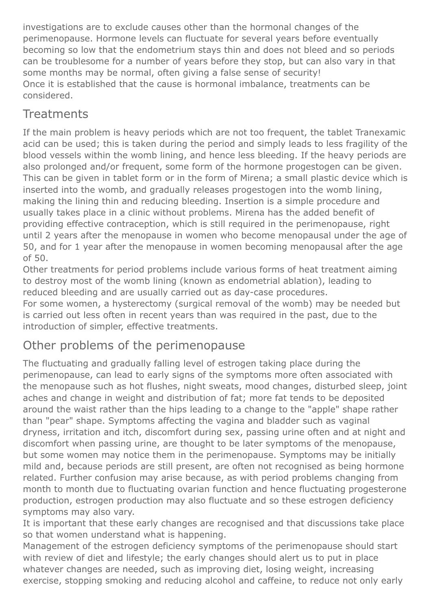investigations are to exclude causes other than the hormonal changes of the perimenopause. Hormone levels can fluctuate for several years before eventually becoming so low that the endometrium stays thin and does not bleed and so periods can be troublesome for a number of years before they stop, but can also vary in that some months may be normal, often giving a false sense of security! Once it is established that the cause is hormonal imbalance, treatments can be considered.

### **Treatments**

If the main problem is heavy periods which are not too frequent, the tablet Tranexamic acid can be used; this is taken during the period and simply leads to less fragility of the blood vessels within the womb lining, and hence less bleeding. If the heavy periods are also prolonged and/or frequent, some form of the hormone progestogen can be given. This can be given in tablet form or in the form of Mirena; a small plastic device which is inserted into the womb, and gradually releases progestogen into the womb lining, making the lining thin and reducing bleeding. Insertion is a simple procedure and usually takes place in a clinic without problems. Mirena has the added benefit of providing effective contraception, which is still required in the perimenopause, right until 2 years after the menopause in women who become menopausal under the age of 50, and for 1 year after the menopause in women becoming menopausal after the age of 50.

Other treatments for period problems include various forms of heat treatment aiming to destroy most of the womb lining (known as endometrial ablation), leading to reduced bleeding and are usually carried out as day-case procedures.

For some women, a hysterectomy (surgical removal of the womb) may be needed but is carried out less often in recent years than was required in the past, due to the introduction of simpler, effective treatments.

## Other problems of the perimenopause

The fluctuating and gradually falling level of estrogen taking place during the perimenopause, can lead to early signs of the symptoms more often associated with the menopause such as hot flushes, night sweats, mood changes, disturbed sleep, joint aches and change in weight and distribution of fat; more fat tends to be deposited around the waist rather than the hips leading to a change to the "apple" shape rather than "pear" shape. Symptoms affecting the vagina and bladder such as vaginal dryness, irritation and itch, discomfort during sex, passing urine often and at night and discomfort when passing urine, are thought to be later symptoms of the menopause, but some women may notice them in the perimenopause. Symptoms may be initially mild and, because periods are still present, are often not recognised as being hormone related. Further confusion may arise because, as with period problems changing from month to month due to fluctuating ovarian function and hence fluctuating progesterone production, estrogen production may also fluctuate and so these estrogen deficiency symptoms may also vary.

It is important that these early changes are recognised and that discussions take place so that women understand what is happening.

Management of the estrogen deficiency symptoms of the perimenopause should start with review of diet and lifestyle; the early changes should alert us to put in place whatever changes are needed, such as improving diet, losing weight, increasing exercise, stopping smoking and reducing alcohol and caffeine, to reduce not only early